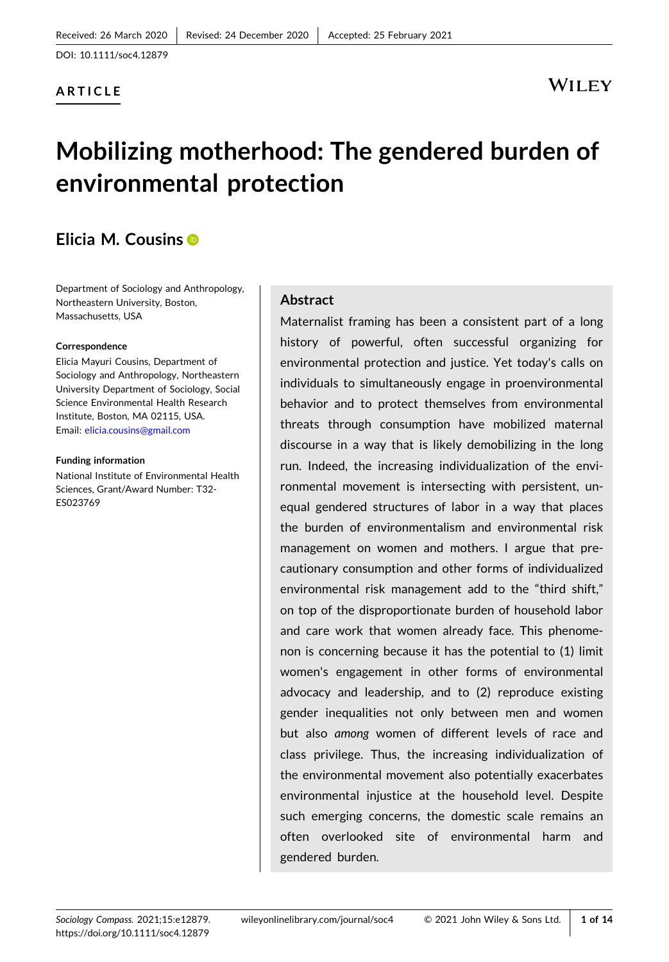## **ARTICLE**

# WILEY

# **Mobilizing motherhood: The gendered burden of environmental protection**

## **Elicia M. Cousins**

Department of Sociology and Anthropology, Northeastern University, Boston, Massachusetts, USA

#### **Correspondence**

Elicia Mayuri Cousins, Department of Sociology and Anthropology, Northeastern University Department of Sociology, Social Science Environmental Health Research Institute, Boston, MA 02115, USA. Email: [elicia.cousins@gmail.com](mailto:elicia.cousins@gmail.com)

#### **Funding information**

National Institute of Environmental Health Sciences, Grant/Award Number: T32‐ ES023769

#### **Abstract**

Maternalist framing has been a consistent part of a long history of powerful, often successful organizing for environmental protection and justice. Yet today's calls on individuals to simultaneously engage in proenvironmental behavior and to protect themselves from environmental threats through consumption have mobilized maternal discourse in a way that is likely demobilizing in the long run. Indeed, the increasing individualization of the environmental movement is intersecting with persistent, unequal gendered structures of labor in a way that places the burden of environmentalism and environmental risk management on women and mothers. I argue that precautionary consumption and other forms of individualized environmental risk management add to the "third shift," on top of the disproportionate burden of household labor and care work that women already face. This phenomenon is concerning because it has the potential to (1) limit women's engagement in other forms of environmental advocacy and leadership, and to (2) reproduce existing gender inequalities not only between men and women but also *among* women of different levels of race and class privilege. Thus, the increasing individualization of the environmental movement also potentially exacerbates environmental injustice at the household level. Despite such emerging concerns, the domestic scale remains an often overlooked site of environmental harm and gendered burden.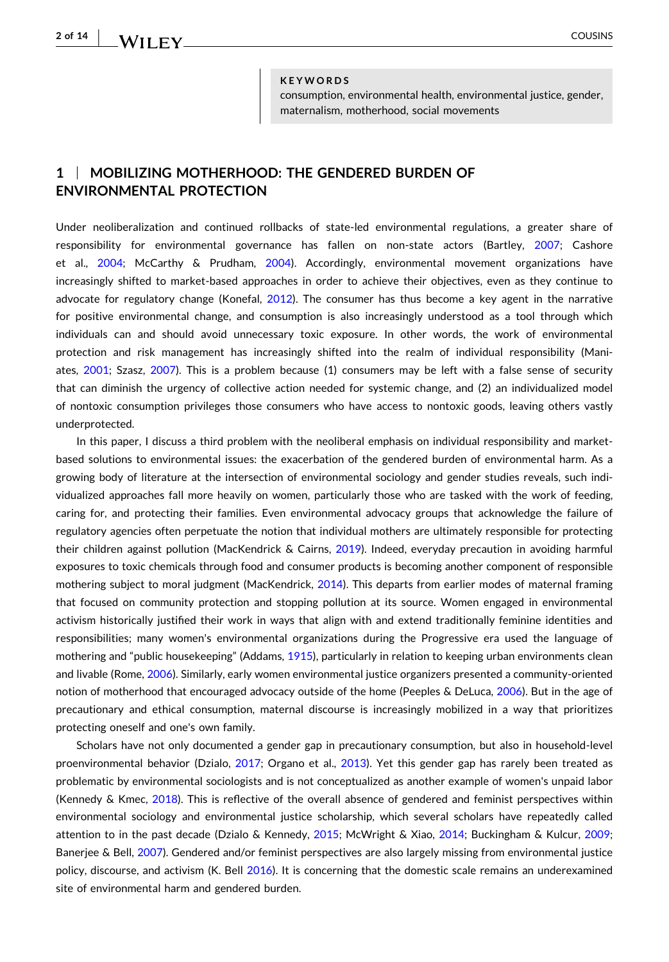**2 of 14**

#### **KEYWORDS**

consumption, environmental health, environmental justice, gender, maternalism, motherhood, social movements

## **1** <sup>|</sup> **MOBILIZING MOTHERHOOD: THE GENDERED BURDEN OF ENVIRONMENTAL PROTECTION**

Under neoliberalization and continued rollbacks of state-led environmental regulations, a greater share of responsibility for environmental governance has fallen on non-state actors (Bartley, [2007;](#page-10-0) Cashore et al., [2004](#page-11-0); McCarthy & Prudham, [2004\)](#page-12-0). Accordingly, environmental movement organizations have increasingly shifted to market‐based approaches in order to achieve their objectives, even as they continue to advocate for regulatory change (Konefal, [2012\)](#page-11-0). The consumer has thus become a key agent in the narrative for positive environmental change, and consumption is also increasingly understood as a tool through which individuals can and should avoid unnecessary toxic exposure. In other words, the work of environmental protection and risk management has increasingly shifted into the realm of individual responsibility (Maniates, [2001;](#page-12-0) Szasz, [2007](#page-12-0)). This is a problem because (1) consumers may be left with a false sense of security that can diminish the urgency of collective action needed for systemic change, and (2) an individualized model of nontoxic consumption privileges those consumers who have access to nontoxic goods, leaving others vastly underprotected.

In this paper, I discuss a third problem with the neoliberal emphasis on individual responsibility and marketbased solutions to environmental issues: the exacerbation of the gendered burden of environmental harm. As a growing body of literature at the intersection of environmental sociology and gender studies reveals, such individualized approaches fall more heavily on women, particularly those who are tasked with the work of feeding, caring for, and protecting their families. Even environmental advocacy groups that acknowledge the failure of regulatory agencies often perpetuate the notion that individual mothers are ultimately responsible for protecting their children against pollution (MacKendrick & Cairns, [2019\)](#page-12-0). Indeed, everyday precaution in avoiding harmful exposures to toxic chemicals through food and consumer products is becoming another component of responsible mothering subject to moral judgment (MacKendrick, [2014\)](#page-11-0). This departs from earlier modes of maternal framing that focused on community protection and stopping pollution at its source. Women engaged in environmental activism historically justified their work in ways that align with and extend traditionally feminine identities and responsibilities; many women's environmental organizations during the Progressive era used the language of mothering and "public housekeeping" (Addams, [1915\)](#page-10-0), particularly in relation to keeping urban environments clean and livable (Rome, [2006](#page-12-0)). Similarly, early women environmental justice organizers presented a community-oriented notion of motherhood that encouraged advocacy outside of the home (Peeples & DeLuca, [2006](#page-12-0)). But in the age of precautionary and ethical consumption, maternal discourse is increasingly mobilized in a way that prioritizes protecting oneself and one's own family.

Scholars have not only documented a gender gap in precautionary consumption, but also in household‐level proenvironmental behavior (Dzialo, [2017;](#page-11-0) Organo et al., [2013](#page-12-0)). Yet this gender gap has rarely been treated as problematic by environmental sociologists and is not conceptualized as another example of women's unpaid labor (Kennedy & Kmec, [2018\)](#page-11-0). This is reflective of the overall absence of gendered and feminist perspectives within environmental sociology and environmental justice scholarship, which several scholars have repeatedly called attention to in the past decade (Dzialo & Kennedy, [2015;](#page-11-0) McWright & Xiao, [2014;](#page-12-0) Buckingham & Kulcur, [2009](#page-11-0); Banerjee & Bell, [2007\)](#page-10-0). Gendered and/or feminist perspectives are also largely missing from environmental justice policy, discourse, and activism (K. Bell [2016](#page-10-0)). It is concerning that the domestic scale remains an underexamined site of environmental harm and gendered burden.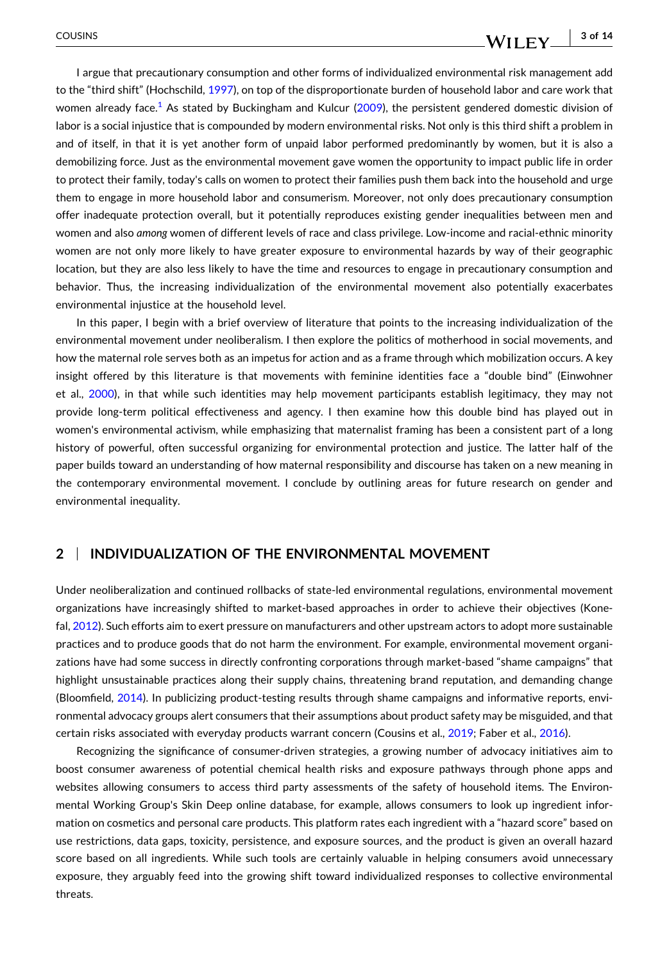I argue that precautionary consumption and other forms of individualized environmental risk management add to the "third shift" (Hochschild, [1997](#page-11-0)), on top of the disproportionate burden of household labor and care work that women already face.<sup>1</sup> As stated by Buckingham and Kulcur ([2009](#page-11-0)), the persistent gendered domestic division of labor is a social injustice that is compounded by modern environmental risks. Not only is this third shift a problem in and of itself, in that it is yet another form of unpaid labor performed predominantly by women, but it is also a demobilizing force. Just as the environmental movement gave women the opportunity to impact public life in order to protect their family, today's calls on women to protect their families push them back into the household and urge them to engage in more household labor and consumerism. Moreover, not only does precautionary consumption offer inadequate protection overall, but it potentially reproduces existing gender inequalities between men and women and also *among* women of different levels of race and class privilege. Low-income and racial-ethnic minority women are not only more likely to have greater exposure to environmental hazards by way of their geographic location, but they are also less likely to have the time and resources to engage in precautionary consumption and behavior. Thus, the increasing individualization of the environmental movement also potentially exacerbates environmental injustice at the household level.

In this paper, I begin with a brief overview of literature that points to the increasing individualization of the environmental movement under neoliberalism. I then explore the politics of motherhood in social movements, and how the maternal role serves both as an impetus for action and as a frame through which mobilization occurs. A key insight offered by this literature is that movements with feminine identities face a "double bind" (Einwohner et al., [2000\)](#page-11-0), in that while such identities may help movement participants establish legitimacy, they may not provide long‐term political effectiveness and agency. I then examine how this double bind has played out in women's environmental activism, while emphasizing that maternalist framing has been a consistent part of a long history of powerful, often successful organizing for environmental protection and justice. The latter half of the paper builds toward an understanding of how maternal responsibility and discourse has taken on a new meaning in the contemporary environmental movement. I conclude by outlining areas for future research on gender and environmental inequality.

## **2** <sup>|</sup> **INDIVIDUALIZATION OF THE ENVIRONMENTAL MOVEMENT**

Under neoliberalization and continued rollbacks of state‐led environmental regulations, environmental movement organizations have increasingly shifted to market‐based approaches in order to achieve their objectives (Konefal, [2012](#page-11-0)). Such efforts aim to exert pressure on manufacturers and other upstream actors to adopt more sustainable practices and to produce goods that do not harm the environment. For example, environmental movement organizations have had some success in directly confronting corporations through market‐based "shame campaigns" that highlight unsustainable practices along their supply chains, threatening brand reputation, and demanding change (Bloomfield, [2014](#page-10-0)). In publicizing product‐testing results through shame campaigns and informative reports, environmental advocacy groups alert consumers that their assumptions about product safety may be misguided, and that certain risks associated with everyday products warrant concern (Cousins et al., [2019](#page-11-0); Faber et al., [2016\)](#page-11-0).

Recognizing the significance of consumer‐driven strategies, a growing number of advocacy initiatives aim to boost consumer awareness of potential chemical health risks and exposure pathways through phone apps and websites allowing consumers to access third party assessments of the safety of household items. The Environmental Working Group's Skin Deep online database, for example, allows consumers to look up ingredient information on cosmetics and personal care products. This platform rates each ingredient with a "hazard score" based on use restrictions, data gaps, toxicity, persistence, and exposure sources, and the product is given an overall hazard score based on all ingredients. While such tools are certainly valuable in helping consumers avoid unnecessary exposure, they arguably feed into the growing shift toward individualized responses to collective environmental threats.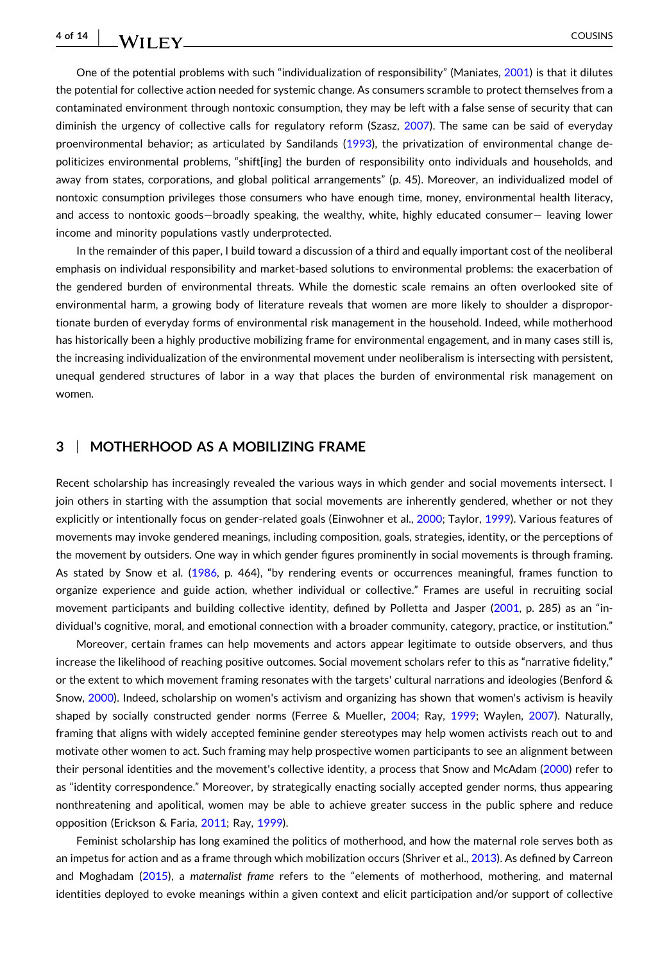**4 of 14** - COUSINS

One of the potential problems with such "individualization of responsibility" (Maniates, [2001\)](#page-12-0) is that it dilutes the potential for collective action needed for systemic change. As consumers scramble to protect themselves from a contaminated environment through nontoxic consumption, they may be left with a false sense of security that can diminish the urgency of collective calls for regulatory reform (Szasz, [2007](#page-12-0)). The same can be said of everyday proenvironmental behavior; as articulated by Sandilands ([1993](#page-12-0)), the privatization of environmental change depoliticizes environmental problems, "shift[ing] the burden of responsibility onto individuals and households, and away from states, corporations, and global political arrangements" (p. 45). Moreover, an individualized model of nontoxic consumption privileges those consumers who have enough time, money, environmental health literacy, and access to nontoxic goods—broadly speaking, the wealthy, white, highly educated consumer— leaving lower income and minority populations vastly underprotected.

In the remainder of this paper, I build toward a discussion of a third and equally important cost of the neoliberal emphasis on individual responsibility and market‐based solutions to environmental problems: the exacerbation of the gendered burden of environmental threats. While the domestic scale remains an often overlooked site of environmental harm, a growing body of literature reveals that women are more likely to shoulder a disproportionate burden of everyday forms of environmental risk management in the household. Indeed, while motherhood has historically been a highly productive mobilizing frame for environmental engagement, and in many cases still is, the increasing individualization of the environmental movement under neoliberalism is intersecting with persistent, unequal gendered structures of labor in a way that places the burden of environmental risk management on women.

### **3** <sup>|</sup> **MOTHERHOOD AS A MOBILIZING FRAME**

Recent scholarship has increasingly revealed the various ways in which gender and social movements intersect. I join others in starting with the assumption that social movements are inherently gendered, whether or not they explicitly or intentionally focus on gender‐related goals (Einwohner et al., [2000;](#page-11-0) Taylor, [1999\)](#page-12-0). Various features of movements may invoke gendered meanings, including composition, goals, strategies, identity, or the perceptions of the movement by outsiders. One way in which gender figures prominently in social movements is through framing. As stated by Snow et al. ([1986](#page-12-0), p. 464), "by rendering events or occurrences meaningful, frames function to organize experience and guide action, whether individual or collective." Frames are useful in recruiting social movement participants and building collective identity, defined by Polletta and Jasper ([2001](#page-12-0), p. 285) as an "individual's cognitive, moral, and emotional connection with a broader community, category, practice, or institution."

Moreover, certain frames can help movements and actors appear legitimate to outside observers, and thus increase the likelihood of reaching positive outcomes. Social movement scholars refer to this as "narrative fidelity," or the extent to which movement framing resonates with the targets' cultural narrations and ideologies (Benford & Snow, [2000](#page-10-0)). Indeed, scholarship on women's activism and organizing has shown that women's activism is heavily shaped by socially constructed gender norms (Ferree & Mueller, [2004;](#page-11-0) Ray, [1999;](#page-12-0) Waylen, [2007\)](#page-12-0). Naturally, framing that aligns with widely accepted feminine gender stereotypes may help women activists reach out to and motivate other women to act. Such framing may help prospective women participants to see an alignment between their personal identities and the movement's collective identity, a process that Snow and McAdam ([2000](#page-12-0)) refer to as "identity correspondence." Moreover, by strategically enacting socially accepted gender norms, thus appearing nonthreatening and apolitical, women may be able to achieve greater success in the public sphere and reduce opposition (Erickson & Faria, [2011](#page-11-0); Ray, [1999\)](#page-12-0).

Feminist scholarship has long examined the politics of motherhood, and how the maternal role serves both as an impetus for action and as a frame through which mobilization occurs (Shriver et al., [2013](#page-12-0)). As defined by Carreon and Moghadam [\(2015\)](#page-11-0), a *maternalist frame* refers to the "elements of motherhood, mothering, and maternal identities deployed to evoke meanings within a given context and elicit participation and/or support of collective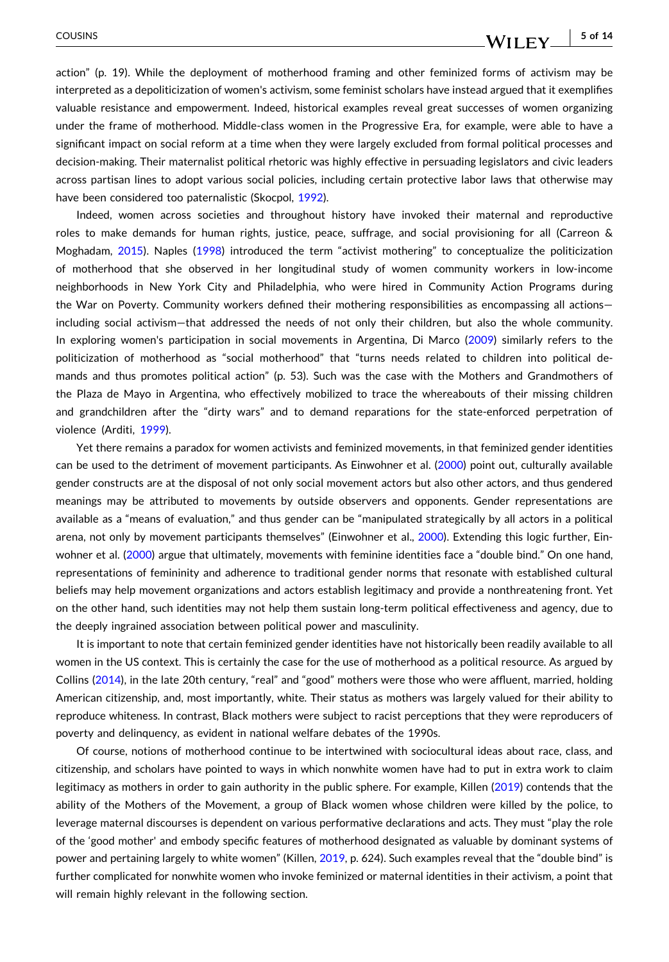action" (p. 19). While the deployment of motherhood framing and other feminized forms of activism may be interpreted as a depoliticization of women's activism, some feminist scholars have instead argued that it exemplifies valuable resistance and empowerment. Indeed, historical examples reveal great successes of women organizing under the frame of motherhood. Middle‐class women in the Progressive Era, for example, were able to have a significant impact on social reform at a time when they were largely excluded from formal political processes and decision-making. Their maternalist political rhetoric was highly effective in persuading legislators and civic leaders across partisan lines to adopt various social policies, including certain protective labor laws that otherwise may have been considered too paternalistic (Skocpol, [1992](#page-12-0)).

Indeed, women across societies and throughout history have invoked their maternal and reproductive roles to make demands for human rights, justice, peace, suffrage, and social provisioning for all (Carreon & Moghadam, [2015\)](#page-11-0). Naples [\(1998\)](#page-12-0) introduced the term "activist mothering" to conceptualize the politicization of motherhood that she observed in her longitudinal study of women community workers in low‐income neighborhoods in New York City and Philadelphia, who were hired in Community Action Programs during the War on Poverty. Community workers defined their mothering responsibilities as encompassing all actions including social activism—that addressed the needs of not only their children, but also the whole community. In exploring women's participation in social movements in Argentina, Di Marco [\(2009\)](#page-11-0) similarly refers to the politicization of motherhood as "social motherhood" that "turns needs related to children into political demands and thus promotes political action" (p. 53). Such was the case with the Mothers and Grandmothers of the Plaza de Mayo in Argentina, who effectively mobilized to trace the whereabouts of their missing children and grandchildren after the "dirty wars" and to demand reparations for the state‐enforced perpetration of violence (Arditi, [1999\)](#page-10-0).

Yet there remains a paradox for women activists and feminized movements, in that feminized gender identities can be used to the detriment of movement participants. As Einwohner et al. [\(2000\)](#page-11-0) point out, culturally available gender constructs are at the disposal of not only social movement actors but also other actors, and thus gendered meanings may be attributed to movements by outside observers and opponents. Gender representations are available as a "means of evaluation," and thus gender can be "manipulated strategically by all actors in a political arena, not only by movement participants themselves" (Einwohner et al., [2000](#page-11-0)). Extending this logic further, Ein-wohner et al. ([2000](#page-11-0)) argue that ultimately, movements with feminine identities face a "double bind." On one hand, representations of femininity and adherence to traditional gender norms that resonate with established cultural beliefs may help movement organizations and actors establish legitimacy and provide a nonthreatening front. Yet on the other hand, such identities may not help them sustain long‐term political effectiveness and agency, due to the deeply ingrained association between political power and masculinity.

It is important to note that certain feminized gender identities have not historically been readily available to all women in the US context. This is certainly the case for the use of motherhood as a political resource. As argued by Collins [\(2014\)](#page-11-0), in the late 20th century, "real" and "good" mothers were those who were affluent, married, holding American citizenship, and, most importantly, white. Their status as mothers was largely valued for their ability to reproduce whiteness. In contrast, Black mothers were subject to racist perceptions that they were reproducers of poverty and delinquency, as evident in national welfare debates of the 1990s.

Of course, notions of motherhood continue to be intertwined with sociocultural ideas about race, class, and citizenship, and scholars have pointed to ways in which nonwhite women have had to put in extra work to claim legitimacy as mothers in order to gain authority in the public sphere. For example, Killen [\(2019\)](#page-11-0) contends that the ability of the Mothers of the Movement, a group of Black women whose children were killed by the police, to leverage maternal discourses is dependent on various performative declarations and acts. They must "play the role of the 'good mother' and embody specific features of motherhood designated as valuable by dominant systems of power and pertaining largely to white women" (Killen, [2019](#page-11-0), p. 624). Such examples reveal that the "double bind" is further complicated for nonwhite women who invoke feminized or maternal identities in their activism, a point that will remain highly relevant in the following section.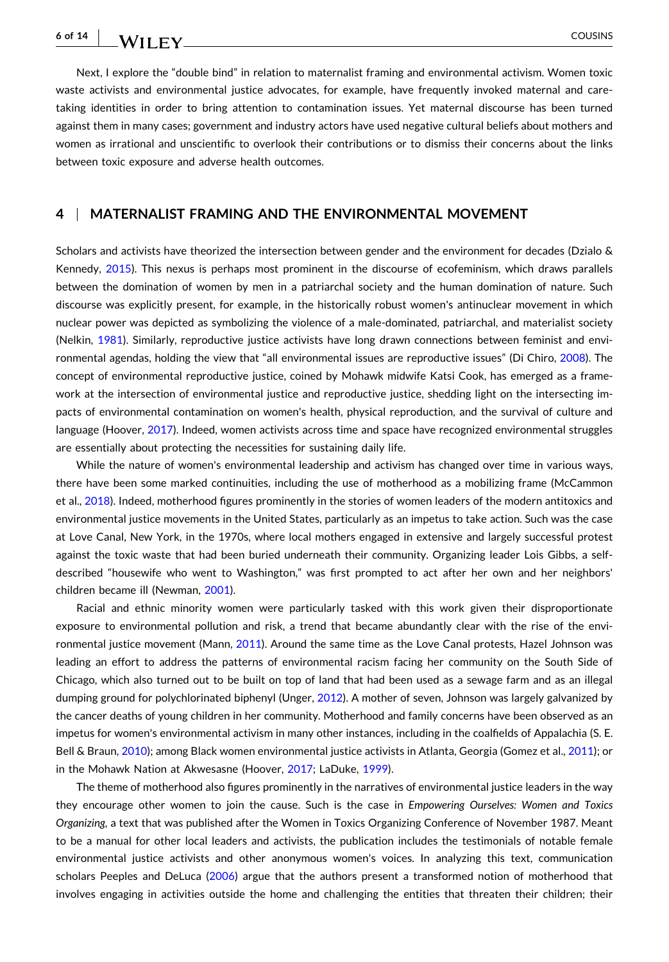Next, I explore the "double bind" in relation to maternalist framing and environmental activism. Women toxic waste activists and environmental justice advocates, for example, have frequently invoked maternal and caretaking identities in order to bring attention to contamination issues. Yet maternal discourse has been turned against them in many cases; government and industry actors have used negative cultural beliefs about mothers and women as irrational and unscientific to overlook their contributions or to dismiss their concerns about the links between toxic exposure and adverse health outcomes.

#### **4** <sup>|</sup> **MATERNALIST FRAMING AND THE ENVIRONMENTAL MOVEMENT**

Scholars and activists have theorized the intersection between gender and the environment for decades (Dzialo & Kennedy, [2015](#page-11-0)). This nexus is perhaps most prominent in the discourse of ecofeminism, which draws parallels between the domination of women by men in a patriarchal society and the human domination of nature. Such discourse was explicitly present, for example, in the historically robust women's antinuclear movement in which nuclear power was depicted as symbolizing the violence of a male‐dominated, patriarchal, and materialist society (Nelkin, [1981](#page-12-0)). Similarly, reproductive justice activists have long drawn connections between feminist and environmental agendas, holding the view that "all environmental issues are reproductive issues" (Di Chiro, [2008](#page-11-0)). The concept of environmental reproductive justice, coined by Mohawk midwife Katsi Cook, has emerged as a framework at the intersection of environmental justice and reproductive justice, shedding light on the intersecting impacts of environmental contamination on women's health, physical reproduction, and the survival of culture and language (Hoover, [2017](#page-11-0)). Indeed, women activists across time and space have recognized environmental struggles are essentially about protecting the necessities for sustaining daily life.

While the nature of women's environmental leadership and activism has changed over time in various ways, there have been some marked continuities, including the use of motherhood as a mobilizing frame (McCammon et al., [2018\)](#page-12-0). Indeed, motherhood figures prominently in the stories of women leaders of the modern antitoxics and environmental justice movements in the United States, particularly as an impetus to take action. Such was the case at Love Canal, New York, in the 1970s, where local mothers engaged in extensive and largely successful protest against the toxic waste that had been buried underneath their community. Organizing leader Lois Gibbs, a selfdescribed "housewife who went to Washington," was first prompted to act after her own and her neighbors' children became ill (Newman, [2001\)](#page-12-0).

Racial and ethnic minority women were particularly tasked with this work given their disproportionate exposure to environmental pollution and risk, a trend that became abundantly clear with the rise of the environmental justice movement (Mann, [2011\)](#page-12-0). Around the same time as the Love Canal protests, Hazel Johnson was leading an effort to address the patterns of environmental racism facing her community on the South Side of Chicago, which also turned out to be built on top of land that had been used as a sewage farm and as an illegal dumping ground for polychlorinated biphenyl (Unger, [2012](#page-12-0)). A mother of seven, Johnson was largely galvanized by the cancer deaths of young children in her community. Motherhood and family concerns have been observed as an impetus for women's environmental activism in many other instances, including in the coalfields of Appalachia (S. E. Bell & Braun, [2010\)](#page-10-0); among Black women environmental justice activists in Atlanta, Georgia (Gomez et al., [2011](#page-11-0)); or in the Mohawk Nation at Akwesasne (Hoover, [2017;](#page-11-0) LaDuke, [1999](#page-11-0)).

The theme of motherhood also figures prominently in the narratives of environmental justice leaders in the way they encourage other women to join the cause. Such is the case in *Empowering Ourselves: Women and Toxics Organizing,* a text that was published after the Women in Toxics Organizing Conference of November 1987. Meant to be a manual for other local leaders and activists, the publication includes the testimonials of notable female environmental justice activists and other anonymous women's voices. In analyzing this text, communication scholars Peeples and DeLuca ([2006](#page-12-0)) argue that the authors present a transformed notion of motherhood that involves engaging in activities outside the home and challenging the entities that threaten their children; their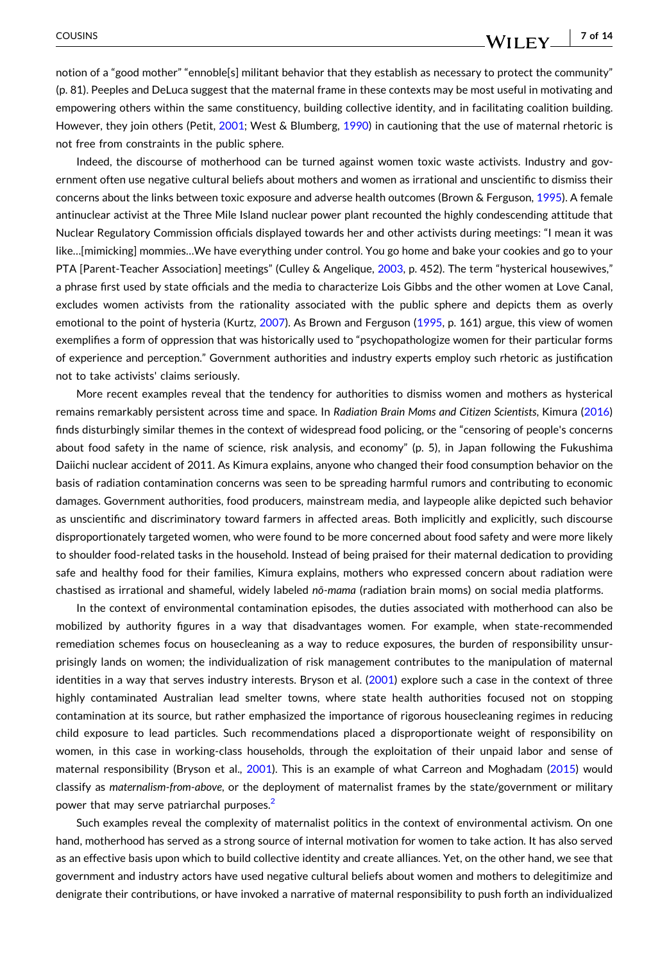notion of a "good mother" "ennoble[s] militant behavior that they establish as necessary to protect the community" (p. 81). Peeples and DeLuca suggest that the maternal frame in these contexts may be most useful in motivating and empowering others within the same constituency, building collective identity, and in facilitating coalition building. However, they join others (Petit, [2001](#page-12-0); West & Blumberg, [1990](#page-12-0)) in cautioning that the use of maternal rhetoric is not free from constraints in the public sphere.

Indeed, the discourse of motherhood can be turned against women toxic waste activists. Industry and government often use negative cultural beliefs about mothers and women as irrational and unscientific to dismiss their concerns about the links between toxic exposure and adverse health outcomes (Brown & Ferguson, [1995](#page-10-0)). A female antinuclear activist at the Three Mile Island nuclear power plant recounted the highly condescending attitude that Nuclear Regulatory Commission officials displayed towards her and other activists during meetings: "I mean it was like…[mimicking] mommies…We have everything under control. You go home and bake your cookies and go to your PTA [Parent-Teacher Association] meetings" (Culley & Angelique, [2003](#page-11-0), p. 452). The term "hysterical housewives," a phrase first used by state officials and the media to characterize Lois Gibbs and the other women at Love Canal, excludes women activists from the rationality associated with the public sphere and depicts them as overly emotional to the point of hysteria (Kurtz, [2007\)](#page-11-0). As Brown and Ferguson [\(1995,](#page-10-0) p. 161) argue, this view of women exemplifies a form of oppression that was historically used to "psychopathologize women for their particular forms of experience and perception." Government authorities and industry experts employ such rhetoric as justification not to take activists' claims seriously.

More recent examples reveal that the tendency for authorities to dismiss women and mothers as hysterical remains remarkably persistent across time and space. In *Radiation Brain Moms and Citizen Scientists*, Kimura [\(2016\)](#page-11-0) finds disturbingly similar themes in the context of widespread food policing, or the "censoring of people's concerns about food safety in the name of science, risk analysis, and economy" (p. 5), in Japan following the Fukushima Daiichi nuclear accident of 2011. As Kimura explains, anyone who changed their food consumption behavior on the basis of radiation contamination concerns was seen to be spreading harmful rumors and contributing to economic damages. Government authorities, food producers, mainstream media, and laypeople alike depicted such behavior as unscientific and discriminatory toward farmers in affected areas. Both implicitly and explicitly, such discourse disproportionately targeted women, who were found to be more concerned about food safety and were more likely to shoulder food-related tasks in the household. Instead of being praised for their maternal dedication to providing safe and healthy food for their families, Kimura explains, mothers who expressed concern about radiation were chastised as irrational and shameful, widely labeled *nō‐mama* (radiation brain moms) on social media platforms.

In the context of environmental contamination episodes, the duties associated with motherhood can also be mobilized by authority figures in a way that disadvantages women. For example, when state‐recommended remediation schemes focus on housecleaning as a way to reduce exposures, the burden of responsibility unsurprisingly lands on women; the individualization of risk management contributes to the manipulation of maternal identities in a way that serves industry interests. Bryson et al. [\(2001\)](#page-11-0) explore such a case in the context of three highly contaminated Australian lead smelter towns, where state health authorities focused not on stopping contamination at its source, but rather emphasized the importance of rigorous housecleaning regimes in reducing child exposure to lead particles. Such recommendations placed a disproportionate weight of responsibility on women, in this case in working-class households, through the exploitation of their unpaid labor and sense of maternal responsibility (Bryson et al., [2001](#page-11-0)). This is an example of what Carreon and Moghadam ([2015](#page-11-0)) would classify as *maternalism‐from‐above*, or the deployment of maternalist frames by the state/government or military power that may serve patriarchal purposes.<sup>2</sup>

Such examples reveal the complexity of maternalist politics in the context of environmental activism. On one hand, motherhood has served as a strong source of internal motivation for women to take action. It has also served as an effective basis upon which to build collective identity and create alliances. Yet, on the other hand, we see that government and industry actors have used negative cultural beliefs about women and mothers to delegitimize and denigrate their contributions, or have invoked a narrative of maternal responsibility to push forth an individualized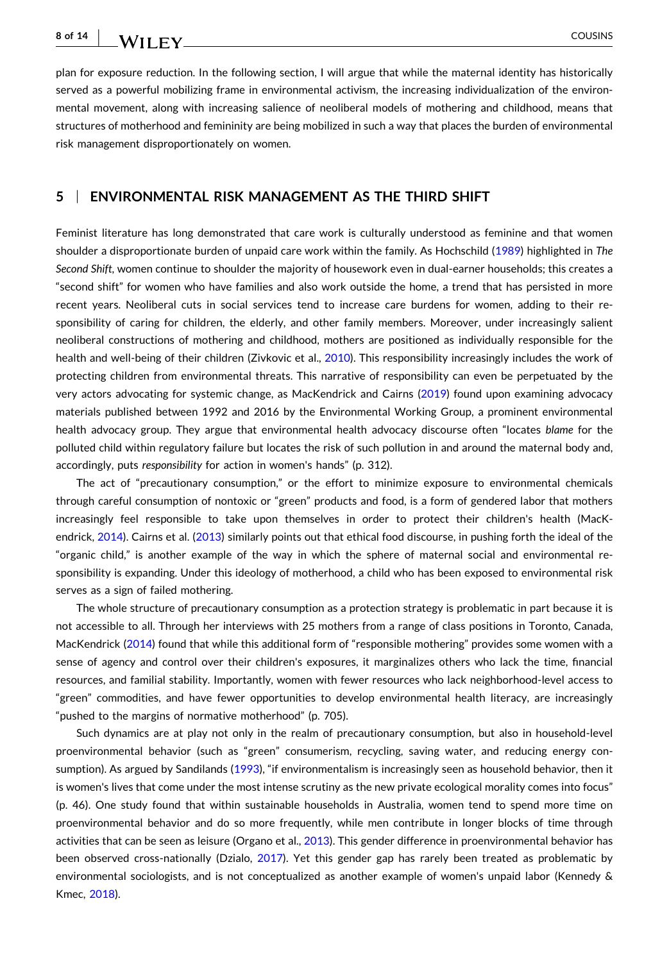- COUSINS

plan for exposure reduction. In the following section, I will argue that while the maternal identity has historically served as a powerful mobilizing frame in environmental activism, the increasing individualization of the environmental movement, along with increasing salience of neoliberal models of mothering and childhood, means that structures of motherhood and femininity are being mobilized in such a way that places the burden of environmental risk management disproportionately on women.

#### **5** <sup>|</sup> **ENVIRONMENTAL RISK MANAGEMENT AS THE THIRD SHIFT**

Feminist literature has long demonstrated that care work is culturally understood as feminine and that women shoulder a disproportionate burden of unpaid care work within the family. As Hochschild ([1989](#page-11-0)) highlighted in *The Second Shift*, women continue to shoulder the majority of housework even in dual‐earner households; this creates a "second shift" for women who have families and also work outside the home, a trend that has persisted in more recent years. Neoliberal cuts in social services tend to increase care burdens for women, adding to their responsibility of caring for children, the elderly, and other family members. Moreover, under increasingly salient neoliberal constructions of mothering and childhood, mothers are positioned as individually responsible for the health and well-being of their children (Zivkovic et al., [2010\)](#page-13-0). This responsibility increasingly includes the work of protecting children from environmental threats. This narrative of responsibility can even be perpetuated by the very actors advocating for systemic change, as MacKendrick and Cairns [\(2019\)](#page-12-0) found upon examining advocacy materials published between 1992 and 2016 by the Environmental Working Group, a prominent environmental health advocacy group. They argue that environmental health advocacy discourse often "locates *blame* for the polluted child within regulatory failure but locates the risk of such pollution in and around the maternal body and, accordingly, puts *responsibility* for action in women's hands" (p. 312).

The act of "precautionary consumption," or the effort to minimize exposure to environmental chemicals through careful consumption of nontoxic or "green" products and food, is a form of gendered labor that mothers increasingly feel responsible to take upon themselves in order to protect their children's health (MacK-endrick, [2014](#page-11-0)). Cairns et al. ([2013](#page-11-0)) similarly points out that ethical food discourse, in pushing forth the ideal of the "organic child," is another example of the way in which the sphere of maternal social and environmental responsibility is expanding. Under this ideology of motherhood, a child who has been exposed to environmental risk serves as a sign of failed mothering.

The whole structure of precautionary consumption as a protection strategy is problematic in part because it is not accessible to all. Through her interviews with 25 mothers from a range of class positions in Toronto, Canada, MacKendrick ([2014](#page-11-0)) found that while this additional form of "responsible mothering" provides some women with a sense of agency and control over their children's exposures, it marginalizes others who lack the time, financial resources, and familial stability. Importantly, women with fewer resources who lack neighborhood‐level access to "green" commodities, and have fewer opportunities to develop environmental health literacy, are increasingly "pushed to the margins of normative motherhood" (p. 705).

Such dynamics are at play not only in the realm of precautionary consumption, but also in household‐level proenvironmental behavior (such as "green" consumerism, recycling, saving water, and reducing energy consumption). As argued by Sandilands [\(1993\)](#page-12-0), "if environmentalism is increasingly seen as household behavior, then it is women's lives that come under the most intense scrutiny as the new private ecological morality comes into focus" (p. 46). One study found that within sustainable households in Australia, women tend to spend more time on proenvironmental behavior and do so more frequently, while men contribute in longer blocks of time through activities that can be seen as leisure (Organo et al., [2013\)](#page-12-0). This gender difference in proenvironmental behavior has been observed cross-nationally (Dzialo, [2017](#page-11-0)). Yet this gender gap has rarely been treated as problematic by environmental sociologists, and is not conceptualized as another example of women's unpaid labor (Kennedy & Kmec, [2018](#page-11-0)).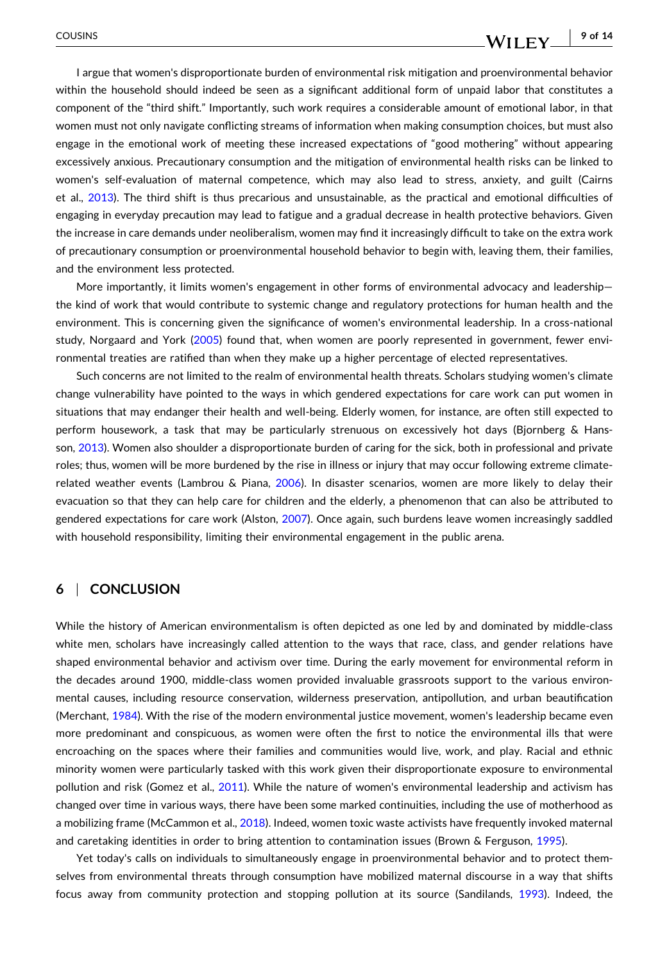I argue that women's disproportionate burden of environmental risk mitigation and proenvironmental behavior within the household should indeed be seen as a significant additional form of unpaid labor that constitutes a component of the "third shift." Importantly, such work requires a considerable amount of emotional labor, in that women must not only navigate conflicting streams of information when making consumption choices, but must also engage in the emotional work of meeting these increased expectations of "good mothering" without appearing excessively anxious. Precautionary consumption and the mitigation of environmental health risks can be linked to women's self-evaluation of maternal competence, which may also lead to stress, anxiety, and guilt (Cairns et al., [2013](#page-11-0)). The third shift is thus precarious and unsustainable, as the practical and emotional difficulties of engaging in everyday precaution may lead to fatigue and a gradual decrease in health protective behaviors. Given the increase in care demands under neoliberalism, women may find it increasingly difficult to take on the extra work of precautionary consumption or proenvironmental household behavior to begin with, leaving them, their families, and the environment less protected.

More importantly, it limits women's engagement in other forms of environmental advocacy and leadership the kind of work that would contribute to systemic change and regulatory protections for human health and the environment. This is concerning given the significance of women's environmental leadership. In a cross-national study, Norgaard and York [\(2005\)](#page-12-0) found that, when women are poorly represented in government, fewer environmental treaties are ratified than when they make up a higher percentage of elected representatives.

Such concerns are not limited to the realm of environmental health threats. Scholars studying women's climate change vulnerability have pointed to the ways in which gendered expectations for care work can put women in situations that may endanger their health and well‐being. Elderly women, for instance, are often still expected to perform housework, a task that may be particularly strenuous on excessively hot days (Bjornberg & Hansson, [2013](#page-10-0)). Women also shoulder a disproportionate burden of caring for the sick, both in professional and private roles; thus, women will be more burdened by the rise in illness or injury that may occur following extreme climaterelated weather events (Lambrou & Piana, [2006](#page-11-0)). In disaster scenarios, women are more likely to delay their evacuation so that they can help care for children and the elderly, a phenomenon that can also be attributed to gendered expectations for care work (Alston, [2007\)](#page-10-0). Once again, such burdens leave women increasingly saddled with household responsibility, limiting their environmental engagement in the public arena.

#### **6** <sup>|</sup> **CONCLUSION**

While the history of American environmentalism is often depicted as one led by and dominated by middle‐class white men, scholars have increasingly called attention to the ways that race, class, and gender relations have shaped environmental behavior and activism over time. During the early movement for environmental reform in the decades around 1900, middle‐class women provided invaluable grassroots support to the various environmental causes, including resource conservation, wilderness preservation, antipollution, and urban beautification (Merchant, [1984\)](#page-12-0). With the rise of the modern environmental justice movement, women's leadership became even more predominant and conspicuous, as women were often the first to notice the environmental ills that were encroaching on the spaces where their families and communities would live, work, and play. Racial and ethnic minority women were particularly tasked with this work given their disproportionate exposure to environmental pollution and risk (Gomez et al., [2011\)](#page-11-0). While the nature of women's environmental leadership and activism has changed over time in various ways, there have been some marked continuities, including the use of motherhood as a mobilizing frame (McCammon et al., [2018](#page-12-0)). Indeed, women toxic waste activists have frequently invoked maternal and caretaking identities in order to bring attention to contamination issues (Brown & Ferguson, [1995](#page-10-0)).

Yet today's calls on individuals to simultaneously engage in proenvironmental behavior and to protect themselves from environmental threats through consumption have mobilized maternal discourse in a way that shifts focus away from community protection and stopping pollution at its source (Sandilands, [1993](#page-12-0)). Indeed, the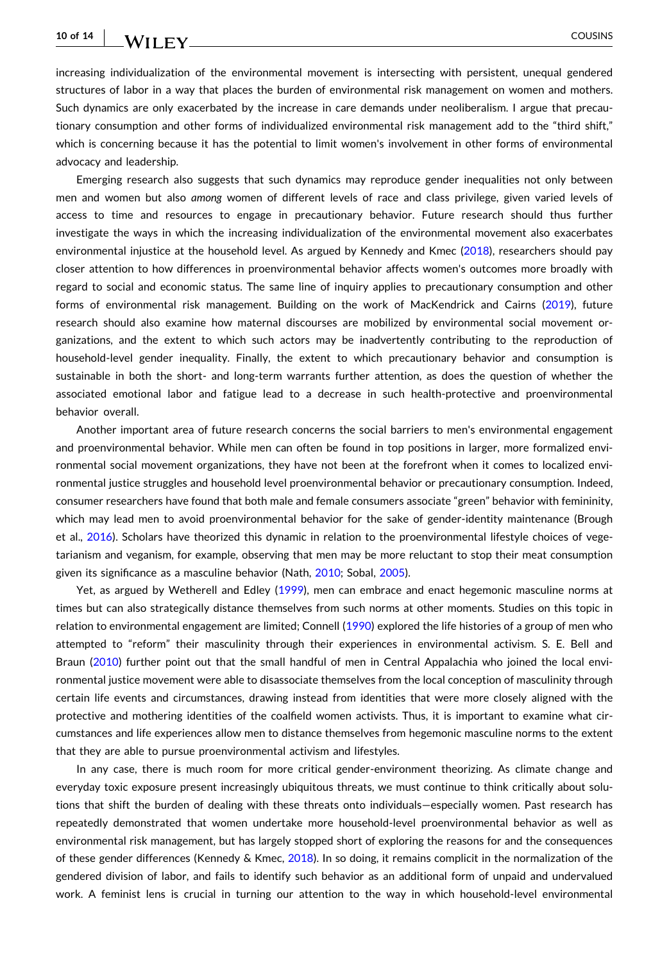#### **10 of 14** - COUSINS

increasing individualization of the environmental movement is intersecting with persistent, unequal gendered structures of labor in a way that places the burden of environmental risk management on women and mothers. Such dynamics are only exacerbated by the increase in care demands under neoliberalism. I argue that precautionary consumption and other forms of individualized environmental risk management add to the "third shift," which is concerning because it has the potential to limit women's involvement in other forms of environmental advocacy and leadership.

Emerging research also suggests that such dynamics may reproduce gender inequalities not only between men and women but also *among* women of different levels of race and class privilege, given varied levels of access to time and resources to engage in precautionary behavior. Future research should thus further investigate the ways in which the increasing individualization of the environmental movement also exacerbates environmental injustice at the household level. As argued by Kennedy and Kmec [\(2018\)](#page-11-0), researchers should pay closer attention to how differences in proenvironmental behavior affects women's outcomes more broadly with regard to social and economic status. The same line of inquiry applies to precautionary consumption and other forms of environmental risk management. Building on the work of MacKendrick and Cairns [\(2019\)](#page-12-0), future research should also examine how maternal discourses are mobilized by environmental social movement organizations, and the extent to which such actors may be inadvertently contributing to the reproduction of household-level gender inequality. Finally, the extent to which precautionary behavior and consumption is sustainable in both the short- and long-term warrants further attention, as does the question of whether the associated emotional labor and fatigue lead to a decrease in such health‐protective and proenvironmental behavior overall.

Another important area of future research concerns the social barriers to men's environmental engagement and proenvironmental behavior. While men can often be found in top positions in larger, more formalized environmental social movement organizations, they have not been at the forefront when it comes to localized environmental justice struggles and household level proenvironmental behavior or precautionary consumption. Indeed, consumer researchers have found that both male and female consumers associate "green" behavior with femininity, which may lead men to avoid proenvironmental behavior for the sake of gender-identity maintenance (Brough et al., [2016](#page-10-0)). Scholars have theorized this dynamic in relation to the proenvironmental lifestyle choices of vegetarianism and veganism, for example, observing that men may be more reluctant to stop their meat consumption given its significance as a masculine behavior (Nath, [2010;](#page-12-0) Sobal, [2005](#page-12-0)).

Yet, as argued by Wetherell and Edley ([1999](#page-13-0)), men can embrace and enact hegemonic masculine norms at times but can also strategically distance themselves from such norms at other moments. Studies on this topic in relation to environmental engagement are limited; Connell ([1990](#page-11-0)) explored the life histories of a group of men who attempted to "reform" their masculinity through their experiences in environmental activism. S. E. Bell and Braun [\(2010\)](#page-10-0) further point out that the small handful of men in Central Appalachia who joined the local environmental justice movement were able to disassociate themselves from the local conception of masculinity through certain life events and circumstances, drawing instead from identities that were more closely aligned with the protective and mothering identities of the coalfield women activists. Thus, it is important to examine what circumstances and life experiences allow men to distance themselves from hegemonic masculine norms to the extent that they are able to pursue proenvironmental activism and lifestyles.

In any case, there is much room for more critical gender-environment theorizing. As climate change and everyday toxic exposure present increasingly ubiquitous threats, we must continue to think critically about solutions that shift the burden of dealing with these threats onto individuals—especially women. Past research has repeatedly demonstrated that women undertake more household‐level proenvironmental behavior as well as environmental risk management, but has largely stopped short of exploring the reasons for and the consequences of these gender differences (Kennedy & Kmec, [2018](#page-11-0)). In so doing, it remains complicit in the normalization of the gendered division of labor, and fails to identify such behavior as an additional form of unpaid and undervalued work. A feminist lens is crucial in turning our attention to the way in which household-level environmental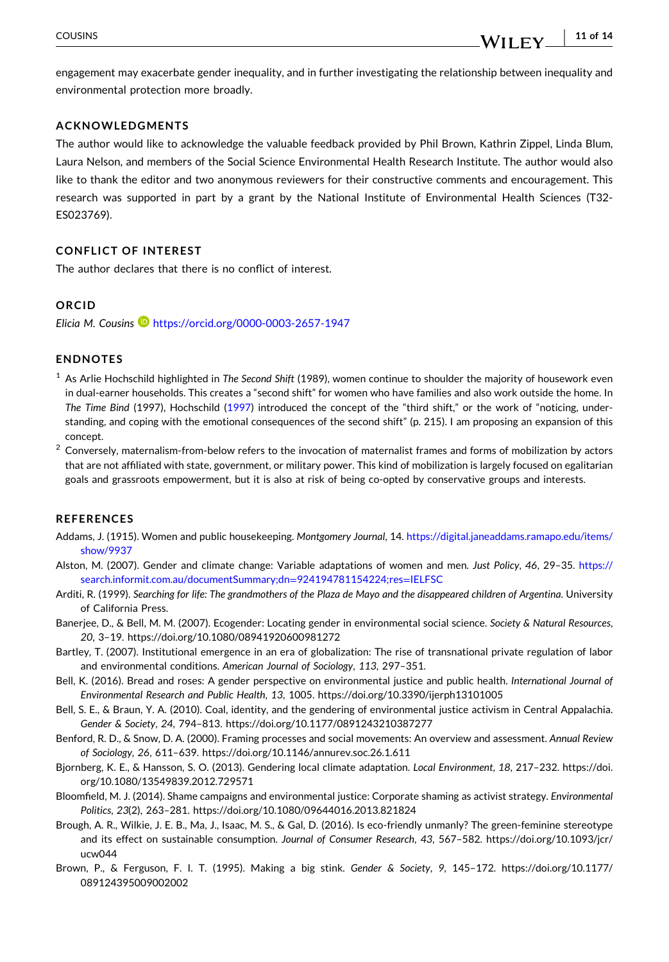<span id="page-10-0"></span>engagement may exacerbate gender inequality, and in further investigating the relationship between inequality and environmental protection more broadly.

#### **ACKNOWLEDGMENTS**

The author would like to acknowledge the valuable feedback provided by Phil Brown, Kathrin Zippel, Linda Blum, Laura Nelson, and members of the Social Science Environmental Health Research Institute. The author would also like to thank the editor and two anonymous reviewers for their constructive comments and encouragement. This research was supported in part by a grant by the National Institute of Environmental Health Sciences (T32‐ ES023769).

#### **CONFLICT OF INTEREST**

The author declares that there is no conflict of interest.

#### **ORCID**

*Elicia M. Cousins* <https://orcid.org/0000-0003-2657-1947>

#### **ENDNOTES**

- <sup>1</sup> As Arlie Hochschild highlighted in *The Second Shift* (1989), women continue to shoulder the majority of housework even in dual‐earner households. This creates a "second shift" for women who have families and also work outside the home. In *The Time Bind* (1997), Hochschild ([1997\)](#page-11-0) introduced the concept of the "third shift," or the work of "noticing, understanding, and coping with the emotional consequences of the second shift" (p. 215). I am proposing an expansion of this concept.
- $2$  Conversely, maternalism-from-below refers to the invocation of maternalist frames and forms of mobilization by actors that are not affiliated with state, government, or military power. This kind of mobilization is largely focused on egalitarian goals and grassroots empowerment, but it is also at risk of being co-opted by conservative groups and interests.

#### **REFERENCES**

- Addams, J. (1915). Women and public housekeeping. *Montgomery Journal*, 14. [https://digital.janeaddams.ramapo.edu/items/](https://digital.janeaddams.ramapo.edu/items/show/9937) [show/9937](https://digital.janeaddams.ramapo.edu/items/show/9937)
- Alston, M. (2007). Gender and climate change: Variable adaptations of women and men. *Just Policy*, *46*, 29–35. [https://](https://search.informit.com.au/documentSummary;dn=924194781154224;res=IELFSC) [search.informit.com.au/documentSummary;dn](https://search.informit.com.au/documentSummary;dn=924194781154224;res=IELFSC)=924194781154224;res=IELFSC
- Arditi, R. (1999). Searching for life: The grandmothers of the Plaza de Mayo and the disappeared children of Argentina. University of California Press.
- Banerjee, D., & Bell, M. M. (2007). Ecogender: Locating gender in environmental social science. *Society & Natural Resources*, *20*, 3–19. <https://doi.org/10.1080/08941920600981272>
- Bartley, T. (2007). Institutional emergence in an era of globalization: The rise of transnational private regulation of labor and environmental conditions. *American Journal of Sociology*, *113*, 297–351.
- Bell, K. (2016). Bread and roses: A gender perspective on environmental justice and public health. *International Journal of Environmental Research and Public Health*, *13*, 1005. <https://doi.org/10.3390/ijerph13101005>
- Bell, S. E., & Braun, Y. A. (2010). Coal, identity, and the gendering of environmental justice activism in Central Appalachia. *Gender & Society*, *24*, 794–813. <https://doi.org/10.1177/0891243210387277>
- Benford, R. D., & Snow, D. A. (2000). Framing processes and social movements: An overview and assessment. *Annual Review of Sociology*, *26*, 611–639. <https://doi.org/10.1146/annurev.soc.26.1.611>
- Bjornberg, K. E., & Hansson, S. O. (2013). Gendering local climate adaptation. *Local Environment*, *18*, 217–232. [https://doi.](https://doi.org/10.1080/13549839.2012.729571) [org/10.1080/13549839.2012.729571](https://doi.org/10.1080/13549839.2012.729571)
- Bloomfield, M. J. (2014). Shame campaigns and environmental justice: Corporate shaming as activist strategy. *Environmental Politics*, *23*(2), 263–281. <https://doi.org/10.1080/09644016.2013.821824>
- Brough, A. R., Wilkie, J. E. B., Ma, J., Isaac, M. S., & Gal, D. (2016). Is eco-friendly unmanly? The green-feminine stereotype and its effect on sustainable consumption. *Journal of Consumer Research*, *43*, 567–582. [https://doi.org/10.1093/jcr/](https://doi.org/10.1093/jcr/ucw044) [ucw044](https://doi.org/10.1093/jcr/ucw044)
- Brown, P., & Ferguson, F. I. T. (1995). Making a big stink. *Gender & Society*, *9*, 145–172. [https://doi.org/10.1177/](https://doi.org/10.1177/089124395009002002) [089124395009002002](https://doi.org/10.1177/089124395009002002)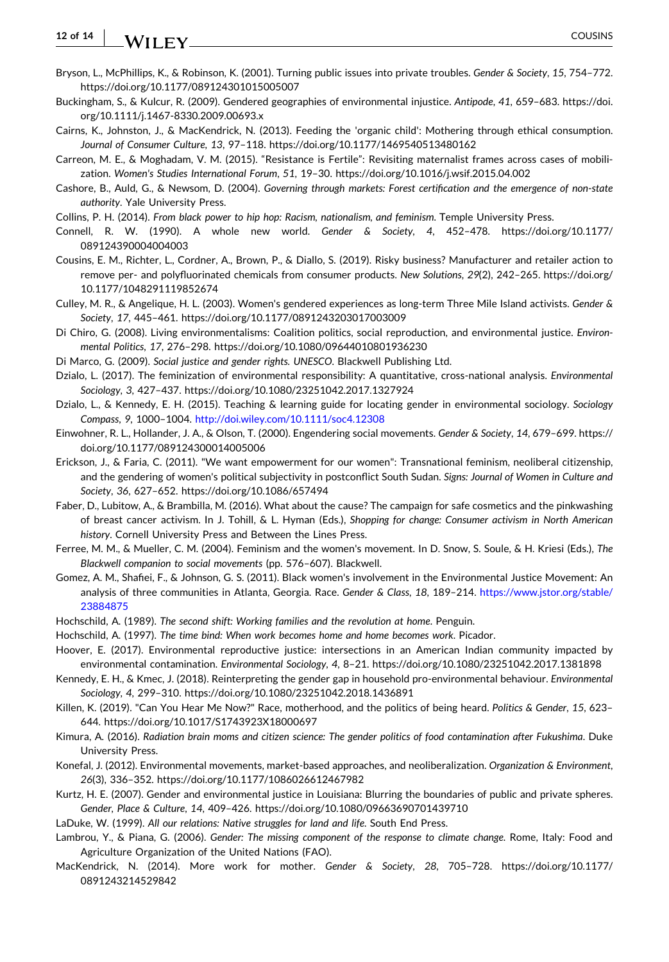#### <span id="page-11-0"></span>**12 of 14** WILEY COUSINS

- Bryson, L., McPhillips, K., & Robinson, K. (2001). Turning public issues into private troubles. *Gender & Society*, *15*, 754–772. <https://doi.org/10.1177/089124301015005007>
- Buckingham, S., & Kulcur, R. (2009). Gendered geographies of environmental injustice. *Antipode*, *41*, 659–683. [https://doi.](https://doi.org/10.1111/j.1467-8330.2009.00693.x) [org/10.1111/j.1467](https://doi.org/10.1111/j.1467-8330.2009.00693.x)‐8330.2009.00693.x
- Cairns, K., Johnston, J., & MacKendrick, N. (2013). Feeding the 'organic child': Mothering through ethical consumption. *Journal of Consumer Culture*, *13*, 97–118. <https://doi.org/10.1177/1469540513480162>
- Carreon, M. E., & Moghadam, V. M. (2015). "Resistance is Fertile": Revisiting maternalist frames across cases of mobilization. *Women's Studies International Forum*, *51*, 19–30. <https://doi.org/10.1016/j.wsif.2015.04.002>
- Cashore, B., Auld, G., & Newsom, D. (2004). *Governing through markets: Forest certification and the emergence of non‐state authority*. Yale University Press.
- Collins, P. H. (2014). *From black power to hip hop: Racism, nationalism, and feminism*. Temple University Press.
- Connell, R. W. (1990). A whole new world. *Gender & Society*, *4*, 452–478. [https://doi.org/10.1177/](https://doi.org/10.1177/089124390004004003) [089124390004004003](https://doi.org/10.1177/089124390004004003)
- Cousins, E. M., Richter, L., Cordner, A., Brown, P., & Diallo, S. (2019). Risky business? Manufacturer and retailer action to remove per‐ and polyfluorinated chemicals from consumer products. *New Solutions*, *29*(2), 242–265. [https://doi.org/](https://doi.org/10.1177/1048291119852674) [10.1177/1048291119852674](https://doi.org/10.1177/1048291119852674)
- Culley, M. R., & Angelique, H. L. (2003). Women's gendered experiences as long‐term Three Mile Island activists. *Gender & Society*, *17*, 445–461. <https://doi.org/10.1177/0891243203017003009>
- Di Chiro, G. (2008). Living environmentalisms: Coalition politics, social reproduction, and environmental justice. *Environmental Politics*, *17*, 276–298. <https://doi.org/10.1080/09644010801936230>
- Di Marco, G. (2009). *Social justice and gender rights. UNESCO*. Blackwell Publishing Ltd.
- Dzialo, L. (2017). The feminization of environmental responsibility: A quantitative, cross-national analysis. *Environmental Sociology*, *3*, 427–437. <https://doi.org/10.1080/23251042.2017.1327924>
- Dzialo, L., & Kennedy, E. H. (2015). Teaching & learning guide for locating gender in environmental sociology. *Sociology Compass*, *9*, 1000–1004. <http://doi.wiley.com/10.1111/soc4.12308>
- Einwohner, R. L., Hollander, J. A., & Olson, T. (2000). Engendering social movements. *Gender & Society*, *14*, 679–699. [https://](https://doi.org/10.1177/089124300014005006) [doi.org/10.1177/089124300014005006](https://doi.org/10.1177/089124300014005006)
- Erickson, J., & Faria, C. (2011). "We want empowerment for our women": Transnational feminism, neoliberal citizenship, and the gendering of women's political subjectivity in postconflict South Sudan. *Signs: Journal of Women in Culture and Society*, *36*, 627–652. <https://doi.org/10.1086/657494>
- Faber, D., Lubitow, A., & Brambilla, M. (2016). What about the cause? The campaign for safe cosmetics and the pinkwashing of breast cancer activism. In J. Tohill, & L. Hyman (Eds.), *Shopping for change: Consumer activism in North American history*. Cornell University Press and Between the Lines Press.
- Ferree, M. M., & Mueller, C. M. (2004). Feminism and the women's movement. In D. Snow, S. Soule, & H. Kriesi (Eds.), *The Blackwell companion to social movements* (pp. 576–607). Blackwell.
- Gomez, A. M., Shafiei, F., & Johnson, G. S. (2011). Black women's involvement in the Environmental Justice Movement: An analysis of three communities in Atlanta, Georgia. Race. *Gender & Class*, *18*, 189–214. [https://www.jstor.org/stable/](https://www.jstor.org/stable/23884875) [23884875](https://www.jstor.org/stable/23884875)
- Hochschild, A. (1989). *The second shift: Working families and the revolution at home*. Penguin.
- Hochschild, A. (1997). *The time bind: When work becomes home and home becomes work*. Picador.
- Hoover, E. (2017). Environmental reproductive justice: intersections in an American Indian community impacted by environmental contamination. *Environmental Sociology*, *4*, 8–21. <https://doi.org/10.1080/23251042.2017.1381898>
- Kennedy, E. H., & Kmec, J. (2018). Reinterpreting the gender gap in household pro‐environmental behaviour. *Environmental Sociology*, *4*, 299–310. <https://doi.org/10.1080/23251042.2018.1436891>
- Killen, K. (2019). "Can You Hear Me Now?" Race, motherhood, and the politics of being heard. *Politics & Gender*, *15*, 623– 644. <https://doi.org/10.1017/S1743923X18000697>
- Kimura, A. (2016). *Radiation brain moms and citizen science: The gender politics of food contamination after Fukushima*. Duke University Press.
- Konefal, J. (2012). Environmental movements, market‐based approaches, and neoliberalization. *Organization & Environment*, *26*(3), 336–352. <https://doi.org/10.1177/1086026612467982>
- Kurtz, H. E. (2007). Gender and environmental justice in Louisiana: Blurring the boundaries of public and private spheres. *Gender, Place & Culture*, *14*, 409–426. <https://doi.org/10.1080/09663690701439710>
- LaDuke, W. (1999). *All our relations: Native struggles for land and life*. South End Press.
- Lambrou, Y., & Piana, G. (2006). *Gender: The missing component of the response to climate change*. Rome, Italy: Food and Agriculture Organization of the United Nations (FAO).
- MacKendrick, N. (2014). More work for mother. *Gender & Society*, *28*, 705–728. [https://doi.org/10.1177/](https://doi.org/10.1177/0891243214529842) [0891243214529842](https://doi.org/10.1177/0891243214529842)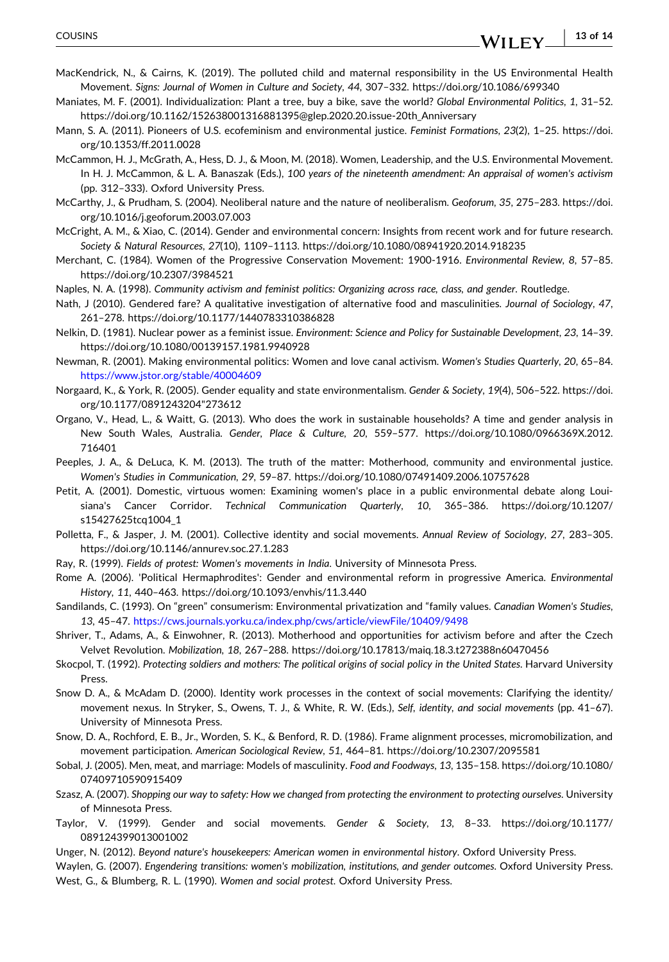- **13 of 14**WILEY -

- <span id="page-12-0"></span>MacKendrick, N., & Cairns, K. (2019). The polluted child and maternal responsibility in the US Environmental Health Movement. *Signs: Journal of Women in Culture and Society*, *44*, 307–332. <https://doi.org/10.1086/699340>
- Maniates, M. F. (2001). Individualization: Plant a tree, buy a bike, save the world? *Global Environmental Politics*, *1*, 31–52. [https://doi.org/10.1162/152638001316881395@glep.2020.20.issue](https://doi.org/10.1162/152638001316881395@glep.2020.20.issue-20th_Anniversary)‐20th\_Anniversary
- Mann, S. A. (2011). Pioneers of U.S. ecofeminism and environmental justice. *Feminist Formations*, *23*(2), 1–25. [https://doi.](https://doi.org/10.1353/ff.2011.0028) [org/10.1353/ff.2011.0028](https://doi.org/10.1353/ff.2011.0028)
- McCammon, H. J., McGrath, A., Hess, D. J., & Moon, M. (2018). Women, Leadership, and the U.S. Environmental Movement. In H. J. McCammon, & L. A. Banaszak (Eds.), *100 years of the nineteenth amendment: An appraisal of women's activism* (pp. 312–333). Oxford University Press.
- McCarthy, J., & Prudham, S. (2004). Neoliberal nature and the nature of neoliberalism. *Geoforum*, *35*, 275–283. [https://doi.](https://doi.org/10.1016/j.geoforum.2003.07.003) [org/10.1016/j.geoforum.2003.07.003](https://doi.org/10.1016/j.geoforum.2003.07.003)
- McCright, A. M., & Xiao, C. (2014). Gender and environmental concern: Insights from recent work and for future research. *Society & Natural Resources*, *27*(10), 1109–1113. <https://doi.org/10.1080/08941920.2014.918235>
- Merchant, C. (1984). Women of the Progressive Conservation Movement: 1900‐1916. *Environmental Review*, *8*, 57–85. <https://doi.org/10.2307/3984521>
- Naples, N. A. (1998). *Community activism and feminist politics: Organizing across race, class, and gender*. Routledge.
- Nath, J (2010). Gendered fare? A qualitative investigation of alternative food and masculinities. *Journal of Sociology*, *47*, 261–278. <https://doi.org/10.1177/1440783310386828>
- Nelkin, D. (1981). Nuclear power as a feminist issue. *Environment: Science and Policy for Sustainable Development*, *23*, 14–39. <https://doi.org/10.1080/00139157.1981.9940928>
- Newman, R. (2001). Making environmental politics: Women and love canal activism. *Women's Studies Quarterly*, *20*, 65–84. <https://www.jstor.org/stable/40004609>
- Norgaard, K., & York, R. (2005). Gender equality and state environmentalism. *Gender & Society*, *19*(4), 506–522. [https://doi.](https://doi.org/10.1177/0891243204273612) [org/10.1177/0891243204"273612](https://doi.org/10.1177/0891243204273612)
- Organo, V., Head, L., & Waitt, G. (2013). Who does the work in sustainable households? A time and gender analysis in New South Wales, Australia. *Gender, Place & Culture*, *20*, 559–577. [https://doi.org/10.1080/0966369X.2012.](https://doi.org/10.1080/0966369X.2012.716401) [716401](https://doi.org/10.1080/0966369X.2012.716401)
- Peeples, J. A., & DeLuca, K. M. (2013). The truth of the matter: Motherhood, community and environmental justice. *Women's Studies in Communication*, *29*, 59–87. <https://doi.org/10.1080/07491409.2006.10757628>
- Petit, A. (2001). Domestic, virtuous women: Examining women's place in a public environmental debate along Louisiana's Cancer Corridor. *Technical Communication Quarterly*, *10*, 365–386. [https://doi.org/10.1207/](https://doi.org/10.1207/s15427625tcq1004_1) [s15427625tcq1004\\_1](https://doi.org/10.1207/s15427625tcq1004_1)
- Polletta, F., & Jasper, J. M. (2001). Collective identity and social movements. *Annual Review of Sociology*, *27*, 283–305. <https://doi.org/10.1146/annurev.soc.27.1.283>
- Ray, R. (1999). *Fields of protest: Women's movements in India*. University of Minnesota Press.
- Rome A. (2006). 'Political Hermaphrodites': Gender and environmental reform in progressive America. *Environmental History*, *11*, 440–463. <https://doi.org/10.1093/envhis/11.3.440>
- Sandilands, C. (1993). On "green" consumerism: Environmental privatization and "family values. *Canadian Women's Studies*, *13*, 45–47. <https://cws.journals.yorku.ca/index.php/cws/article/viewFile/10409/9498>
- Shriver, T., Adams, A., & Einwohner, R. (2013). Motherhood and opportunities for activism before and after the Czech Velvet Revolution. *Mobilization*, *18*, 267–288. <https://doi.org/10.17813/maiq.18.3.t272388n60470456>
- Skocpol, T. (1992). Protecting soldiers and mothers: The political origins of social policy in the United States. Harvard University Press.
- Snow D. A., & McAdam D. (2000). Identity work processes in the context of social movements: Clarifying the identity/ movement nexus. In Stryker, S., Owens, T. J., & White, R. W. (Eds.), *Self, identity, and social movements* (pp. 41–67). University of Minnesota Press.
- Snow, D. A., Rochford, E. B., Jr., Worden, S. K., & Benford, R. D. (1986). Frame alignment processes, micromobilization, and movement participation. *American Sociological Review*, *51*, 464–81. <https://doi.org/10.2307/2095581>
- Sobal, J. (2005). Men, meat, and marriage: Models of masculinity. *Food and Foodways*, *13*, 135–158. [https://doi.org/10.1080/](https://doi.org/10.1080/07409710590915409) [07409710590915409](https://doi.org/10.1080/07409710590915409)
- Szasz, A. (2007). Shopping our way to safety: How we changed from protecting the environment to protecting ourselves. University of Minnesota Press.
- Taylor, V. (1999). Gender and social movements. *Gender & Society*, *13*, 8–33. [https://doi.org/10.1177/](https://doi.org/10.1177/089124399013001002) [089124399013001002](https://doi.org/10.1177/089124399013001002)
- Unger, N. (2012). *Beyond nature's housekeepers: American women in environmental history*. Oxford University Press.

Waylen, G. (2007). *Engendering transitions: women's mobilization, institutions, and gender outcomes*. Oxford University Press. West, G., & Blumberg, R. L. (1990). *Women and social protest*. Oxford University Press.